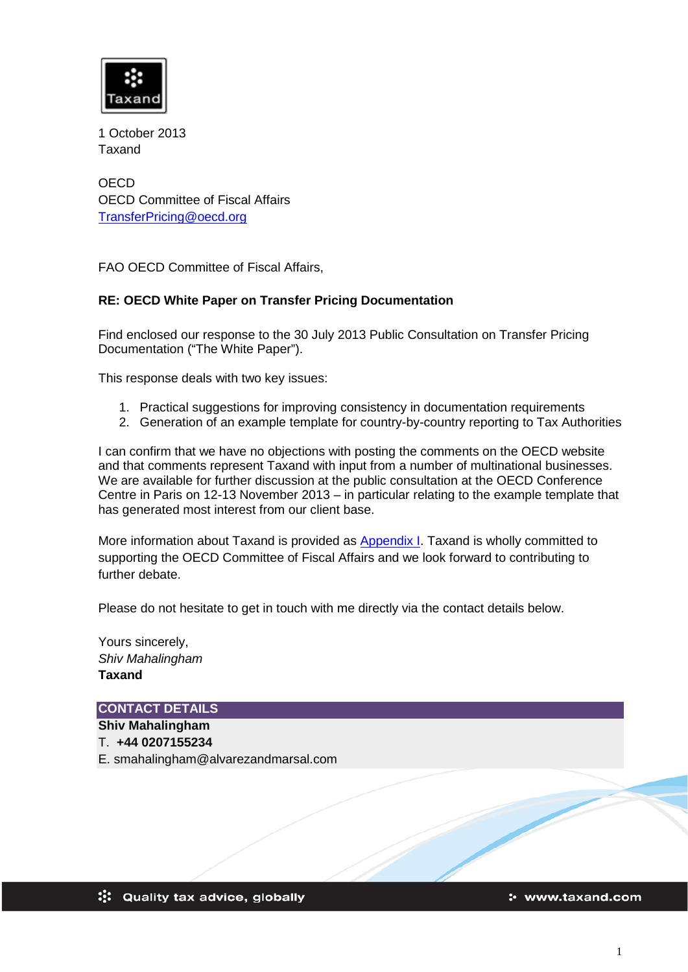

1 October 2013 Taxand

**OECD** OECD Committee of Fiscal Affairs [TransferPricing@oecd.org](mailto:TransferPricing@oecd.org)

FAO OECD Committee of Fiscal Affairs,

# **RE: OECD White Paper on Transfer Pricing Documentation**

Find enclosed our response to the 30 July 2013 Public Consultation on Transfer Pricing Documentation ("The White Paper").

This response deals with two key issues:

- 1. Practical suggestions for improving consistency in documentation requirements
- 2. Generation of an example template for country-by-country reporting to Tax Authorities

I can confirm that we have no objections with posting the comments on the OECD website and that comments represent Taxand with input from a number of multinational businesses. We are available for further discussion at the public consultation at the OECD Conference Centre in Paris on 12-13 November 2013 – in particular relating to the example template that has generated most interest from our client base.

More information about Taxand is provided as Appendix I. Taxand is wholly committed to supporting the OECD Committee of Fiscal Affairs and we look forward to contributing to further debate.

Please do not hesitate to get in touch with me directly via the contact details below.

Yours sincerely, *Shiv Mahalingham* **Taxand**

**CONTACT DETAILS**

**Shiv Mahalingham**

T. **+44 0207155234**

E. smahalingham@alvarezandmarsal.com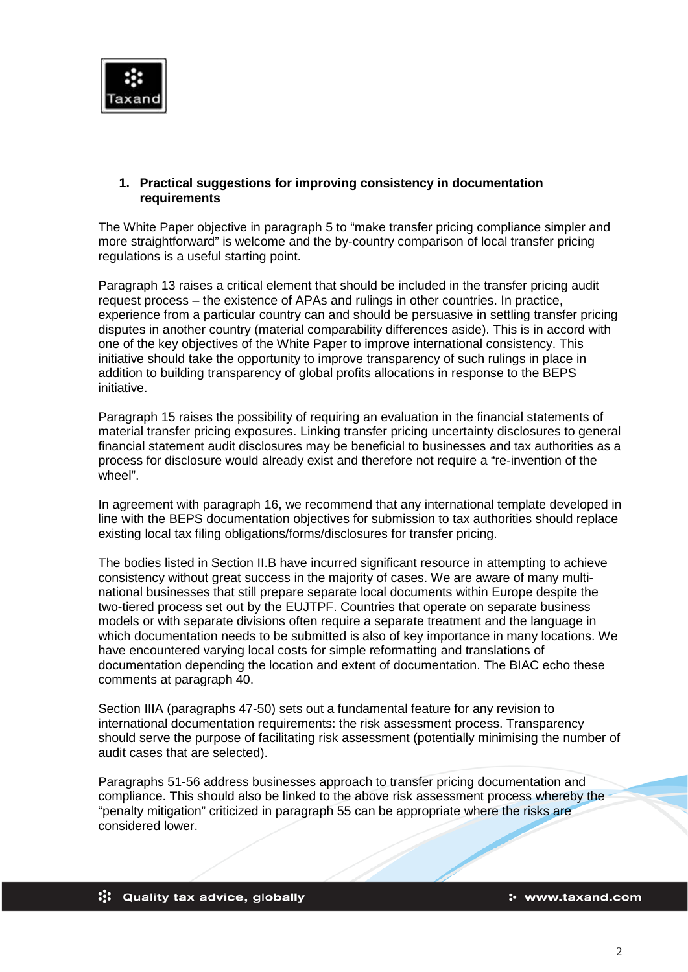

## **1. Practical suggestions for improving consistency in documentation requirements**

The White Paper objective in paragraph 5 to "make transfer pricing compliance simpler and more straightforward" is welcome and the by-country comparison of local transfer pricing regulations is a useful starting point.

Paragraph 13 raises a critical element that should be included in the transfer pricing audit request process – the existence of APAs and rulings in other countries. In practice, experience from a particular country can and should be persuasive in settling transfer pricing disputes in another country (material comparability differences aside). This is in accord with one of the key objectives of the White Paper to improve international consistency. This initiative should take the opportunity to improve transparency of such rulings in place in addition to building transparency of global profits allocations in response to the BEPS initiative.

Paragraph 15 raises the possibility of requiring an evaluation in the financial statements of material transfer pricing exposures. Linking transfer pricing uncertainty disclosures to general financial statement audit disclosures may be beneficial to businesses and tax authorities as a process for disclosure would already exist and therefore not require a "re-invention of the wheel".

In agreement with paragraph 16, we recommend that any international template developed in line with the BEPS documentation objectives for submission to tax authorities should replace existing local tax filing obligations/forms/disclosures for transfer pricing.

The bodies listed in Section II.B have incurred significant resource in attempting to achieve consistency without great success in the majority of cases. We are aware of many multinational businesses that still prepare separate local documents within Europe despite the two-tiered process set out by the EUJTPF. Countries that operate on separate business models or with separate divisions often require a separate treatment and the language in which documentation needs to be submitted is also of key importance in many locations. We have encountered varying local costs for simple reformatting and translations of documentation depending the location and extent of documentation. The BIAC echo these comments at paragraph 40.

Section IIIA (paragraphs 47-50) sets out a fundamental feature for any revision to international documentation requirements: the risk assessment process. Transparency should serve the purpose of facilitating risk assessment (potentially minimising the number of audit cases that are selected).

Paragraphs 51-56 address businesses approach to transfer pricing documentation and compliance. This should also be linked to the above risk assessment process whereby the "penalty mitigation" criticized in paragraph 55 can be appropriate where the risks are considered lower.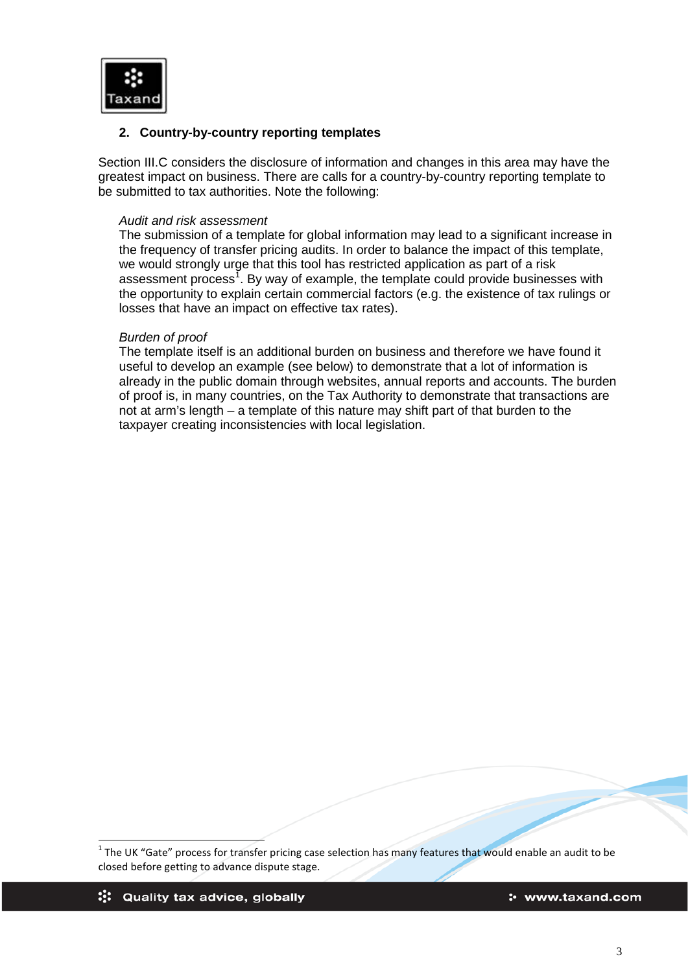

## **2. Country-by-country reporting templates**

Section III.C considers the disclosure of information and changes in this area may have the greatest impact on business. There are calls for a country-by-country reporting template to be submitted to tax authorities. Note the following:

## *Audit and risk assessment*

The submission of a template for global information may lead to a significant increase in the frequency of transfer pricing audits. In order to balance the impact of this template, we would strongly urge that this tool has restricted application as part of a risk assessment process<sup>[1](#page-2-0)</sup>. By way of example, the template could provide businesses with the opportunity to explain certain commercial factors (e.g. the existence of tax rulings or losses that have an impact on effective tax rates).

#### *Burden of proof*

The template itself is an additional burden on business and therefore we have found it useful to develop an example (see below) to demonstrate that a lot of information is already in the public domain through websites, annual reports and accounts. The burden of proof is, in many countries, on the Tax Authority to demonstrate that transactions are not at arm's length – a template of this nature may shift part of that burden to the taxpayer creating inconsistencies with local legislation.

<span id="page-2-0"></span> $1$  The UK "Gate" process for transfer pricing case selection has many features that would enable an audit to be closed before getting to advance dispute stage.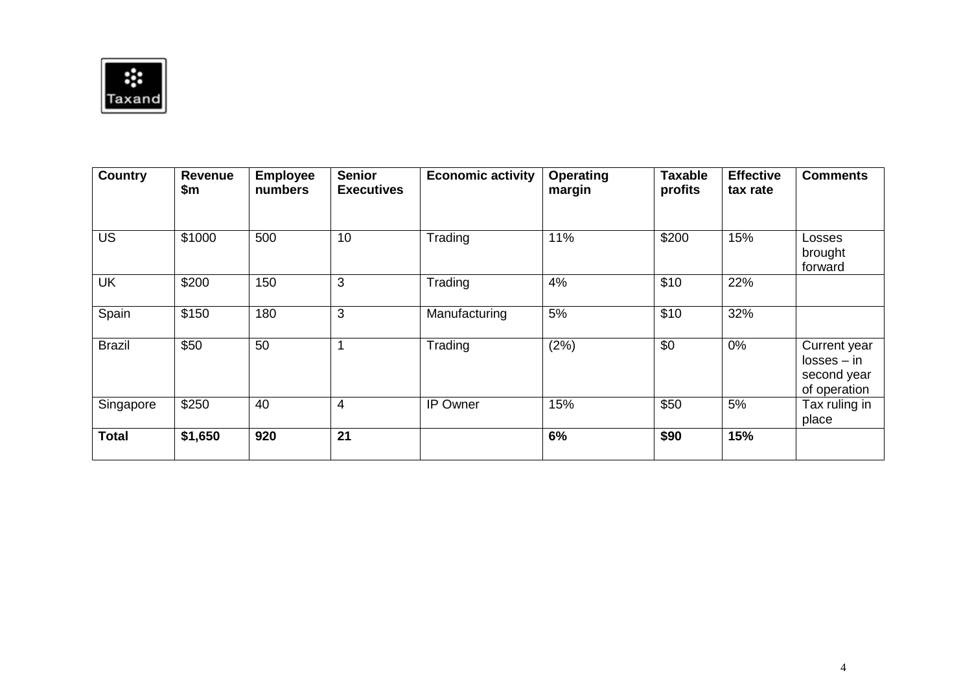

| <b>Country</b> | Revenue<br>\$m | <b>Employee</b><br>numbers | <b>Senior</b><br><b>Executives</b> | <b>Economic activity</b> | <b>Operating</b><br>margin | <b>Taxable</b><br>profits | <b>Effective</b><br>tax rate | <b>Comments</b>                                              |
|----------------|----------------|----------------------------|------------------------------------|--------------------------|----------------------------|---------------------------|------------------------------|--------------------------------------------------------------|
| <b>US</b>      | \$1000         | 500                        | 10                                 | Trading                  | 11%                        | \$200                     | 15%                          | Losses<br>brought<br>forward                                 |
| UK             | \$200          | 150                        | 3                                  | Trading                  | 4%                         | \$10                      | 22%                          |                                                              |
| Spain          | \$150          | 180                        | 3                                  | Manufacturing            | 5%                         | \$10                      | 32%                          |                                                              |
| <b>Brazil</b>  | \$50           | 50                         |                                    | Trading                  | (2%)                       | \$0                       | 0%                           | Current year<br>$losses - in$<br>second year<br>of operation |
| Singapore      | \$250          | 40                         | $\overline{4}$                     | <b>IP Owner</b>          | 15%                        | \$50                      | 5%                           | Tax ruling in<br>place                                       |
| <b>Total</b>   | \$1,650        | 920                        | 21                                 |                          | 6%                         | \$90                      | 15%                          |                                                              |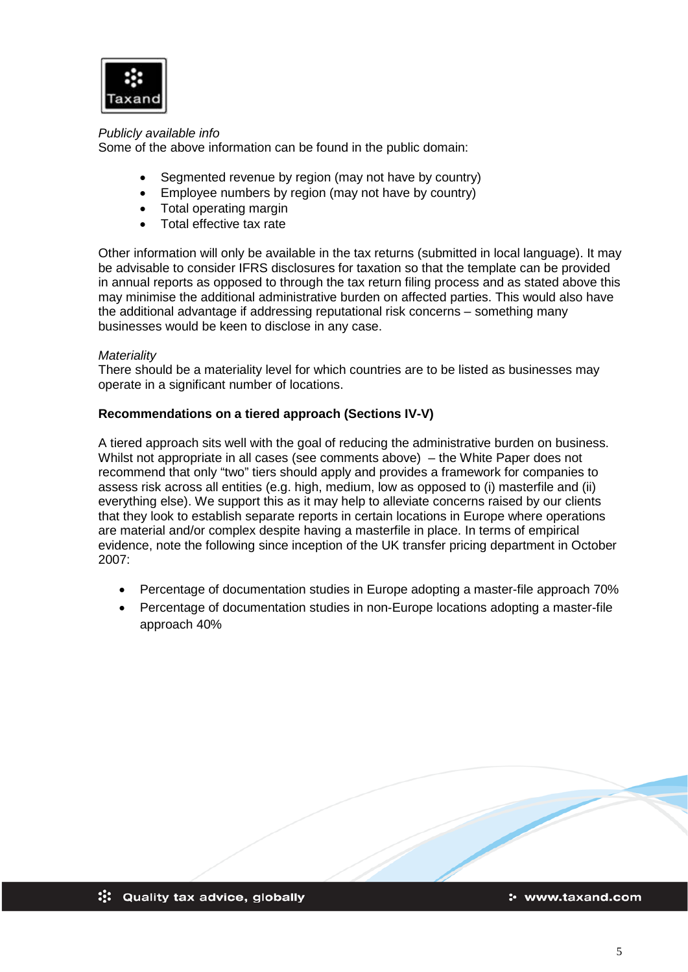

## *Publicly available info*

Some of the above information can be found in the public domain:

- Segmented revenue by region (may not have by country)
- Employee numbers by region (may not have by country)
- Total operating margin
- Total effective tax rate

Other information will only be available in the tax returns (submitted in local language). It may be advisable to consider IFRS disclosures for taxation so that the template can be provided in annual reports as opposed to through the tax return filing process and as stated above this may minimise the additional administrative burden on affected parties. This would also have the additional advantage if addressing reputational risk concerns – something many businesses would be keen to disclose in any case.

## *Materiality*

There should be a materiality level for which countries are to be listed as businesses may operate in a significant number of locations.

## **Recommendations on a tiered approach (Sections IV-V)**

A tiered approach sits well with the goal of reducing the administrative burden on business. Whilst not appropriate in all cases (see comments above) – the White Paper does not recommend that only "two" tiers should apply and provides a framework for companies to assess risk across all entities (e.g. high, medium, low as opposed to (i) masterfile and (ii) everything else). We support this as it may help to alleviate concerns raised by our clients that they look to establish separate reports in certain locations in Europe where operations are material and/or complex despite having a masterfile in place. In terms of empirical evidence, note the following since inception of the UK transfer pricing department in October 2007:

- Percentage of documentation studies in Europe adopting a master-file approach 70%
- Percentage of documentation studies in non-Europe locations adopting a master-file approach 40%